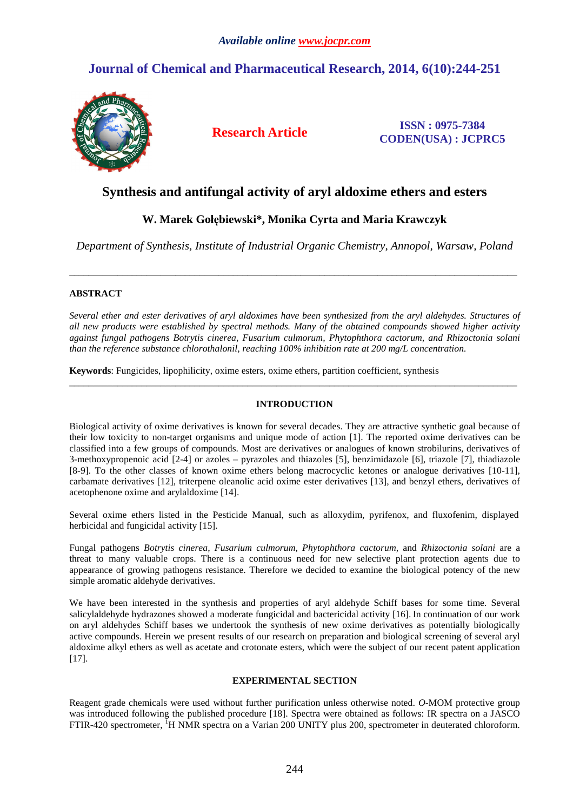# **Journal of Chemical and Pharmaceutical Research, 2014, 6(10):244-251**



**Research Article ISSN : 0975-7384 CODEN(USA) : JCPRC5**

# **Synthesis and antifungal activity of aryl aldoxime ethers and esters**

# **W. Marek Gołębiewski\*, Monika Cyrta and Maria Krawczyk**

*Department of Synthesis, Institute of Industrial Organic Chemistry, Annopol, Warsaw, Poland* 

\_\_\_\_\_\_\_\_\_\_\_\_\_\_\_\_\_\_\_\_\_\_\_\_\_\_\_\_\_\_\_\_\_\_\_\_\_\_\_\_\_\_\_\_\_\_\_\_\_\_\_\_\_\_\_\_\_\_\_\_\_\_\_\_\_\_\_\_\_\_\_\_\_\_\_\_\_\_\_\_\_\_\_\_\_\_\_\_\_\_\_\_\_

# **ABSTRACT**

*Several ether and ester derivatives of aryl aldoximes have been synthesized from the aryl aldehydes. Structures of all new products were established by spectral methods. Many of the obtained compounds showed higher activity against fungal pathogens Botrytis cinerea, Fusarium culmorum, Phytophthora cactorum, and Rhizoctonia solani than the reference substance chlorothalonil, reaching 100% inhibition rate at 200 mg/L concentration.* 

**Keywords**: Fungicides, lipophilicity, oxime esters, oxime ethers, partition coefficient, synthesis

# **INTRODUCTION**

\_\_\_\_\_\_\_\_\_\_\_\_\_\_\_\_\_\_\_\_\_\_\_\_\_\_\_\_\_\_\_\_\_\_\_\_\_\_\_\_\_\_\_\_\_\_\_\_\_\_\_\_\_\_\_\_\_\_\_\_\_\_\_\_\_\_\_\_\_\_\_\_\_\_\_\_\_\_\_\_\_\_\_\_\_\_\_\_\_\_\_\_\_

Biological activity of oxime derivatives is known for several decades. They are attractive synthetic goal because of their low toxicity to non-target organisms and unique mode of action [1]. The reported oxime derivatives can be classified into a few groups of compounds. Most are derivatives or analogues of known strobilurins, derivatives of 3-methoxypropenoic acid [2-4] or azoles – pyrazoles and thiazoles [5], benzimidazole [6], triazole [7], thiadiazole [8-9]. To the other classes of known oxime ethers belong macrocyclic ketones or analogue derivatives [10-11], carbamate derivatives [12], triterpene oleanolic acid oxime ester derivatives [13], and benzyl ethers, derivatives of acetophenone oxime and arylaldoxime [14].

Several oxime ethers listed in the Pesticide Manual, such as alloxydim, pyrifenox, and fluxofenim, displayed herbicidal and fungicidal activity [15].

Fungal pathogens *Botrytis cinerea, Fusarium culmorum, Phytophthora cactorum,* and *Rhizoctonia solani* are a threat to many valuable crops. There is a continuous need for new selective plant protection agents due to appearance of growing pathogens resistance. Therefore we decided to examine the biological potency of the new simple aromatic aldehyde derivatives.

We have been interested in the synthesis and properties of aryl aldehyde Schiff bases for some time. Several salicylaldehyde hydrazones showed a moderate fungicidal and bactericidal activity [16]. In continuation of our work on aryl aldehydes Schiff bases we undertook the synthesis of new oxime derivatives as potentially biologically active compounds. Herein we present results of our research on preparation and biological screening of several aryl aldoxime alkyl ethers as well as acetate and crotonate esters, which were the subject of our recent patent application  $[17]$ .

# **EXPERIMENTAL SECTION**

Reagent grade chemicals were used without further purification unless otherwise noted. *O*-MOM protective group was introduced following the published procedure [18]. Spectra were obtained as follows: IR spectra on a JASCO FTIR-420 spectrometer, <sup>1</sup>H NMR spectra on a Varian 200 UNITY plus 200, spectrometer in deuterated chloroform.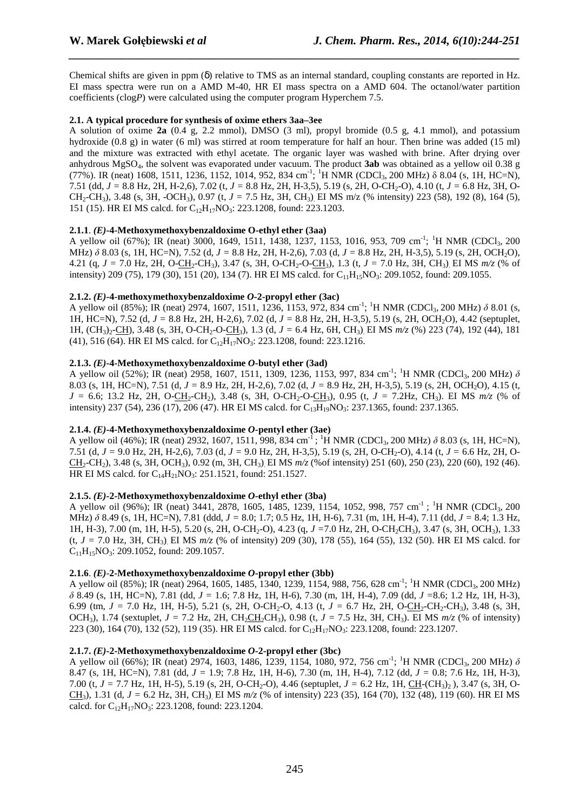Chemical shifts are given in ppm  $(\delta)$  relative to TMS as an internal standard, coupling constants are reported in Hz. EI mass spectra were run on a AMD M-40, HR EI mass spectra on a AMD 604. The octanol/water partition coefficients (clog*P*) were calculated using the computer program Hyperchem 7.5.

*\_\_\_\_\_\_\_\_\_\_\_\_\_\_\_\_\_\_\_\_\_\_\_\_\_\_\_\_\_\_\_\_\_\_\_\_\_\_\_\_\_\_\_\_\_\_\_\_\_\_\_\_\_\_\_\_\_\_\_\_\_\_\_\_\_\_\_\_\_\_\_\_\_\_\_\_\_\_*

# **2.1. A typical procedure for synthesis of oxime ethers 3aa–3ee**

A solution of oxime **2a** (0.4 g, 2.2 mmol), DMSO (3 ml), propyl bromide (0.5 g, 4.1 mmol), and potassium hydroxide (0.8 g) in water (6 ml) was stirred at room temperature for half an hour. Then brine was added (15 ml) and the mixture was extracted with ethyl acetate. The organic layer was washed with brine. After drying over anhydrous MgSO4, the solvent was evaporated under vacuum. The product **3ab** was obtained as a yellow oil 0.38 g (77%). IR (neat) 1608, 1511, 1236, 1152, 1014, 952, 834 cm<sup>-1</sup>; <sup>1</sup>H NMR (CDCl<sub>3</sub>, 200 MHz)  $\delta$  8.04 (s, 1H, HC=N), 7.51 (dd, *J =* 8.8 Hz, 2H, H-2,6), 7.02 (t, *J =* 8.8 Hz, 2H, H-3,5), 5.19 (s, 2H, O-CH2-O), 4.10 (t, *J =* 6.8 Hz, 3H, O-CH2-CH3), 3.48 (s, 3H, -OCH3), 0.97 (t, *J =* 7.5 Hz, 3H, CH3). EI MS m/z (% intensity) 223 (58), 192 (8), 164 (5), 151 (15). HR EI MS calcd. for C12H17NO3: 223.1208, found: 223.1203.

# **2.1.1**. *(E)***-4-Methoxymethoxybenzaldoxime O-ethyl ether (3aa)**

A yellow oil (67%); IR (neat) 3000, 1649, 1511, 1438, 1237, 1153, 1016, 953, 709 cm<sup>-1</sup>; <sup>1</sup>H NMR (CDCl<sub>3</sub>, 200 MHz) *δ* 8.03 (s, 1H, HC=N), 7.52 (d, *J =* 8.8 Hz, 2H, H-2,6), 7.03 (d, *J =* 8.8 Hz, 2H, H-3,5), 5.19 (s, 2H, OCH2O), 4.21 (q,  $J = 7.0$  Hz, 2H, O-CH<sub>2</sub>-CH<sub>3</sub>), 3.47 (s, 3H, O-CH<sub>2</sub>-O-CH<sub>3</sub>), 1.3 (t,  $J = 7.0$  Hz, 3H, CH<sub>3</sub>). EI MS  $m/z$  (% of intensity) 209 (75), 179 (30), 151 (20), 134 (7). HR EI MS calcd. for  $C_{11}H_{15}NO_3$ : 209.1052, found: 209.1055.

# **2.1.2.**  $(E)$ -4-methoxymethoxybenzaldoxime  $O$ -2-propyl ether (3ac)

A yellow oil (85%); IR (neat) 2974, 1607, 1511, 1236, 1153, 972, 834 cm<sup>-1</sup>; <sup>1</sup>H NMR (CDCl<sub>3</sub>, 200 MHz) δ 8.01 (s, 1H, HC=N), 7.52 (d, *J =* 8.8 Hz, 2H, H-2,6), 7.02 (d, *J =* 8.8 Hz, 2H, H-3,5), 5.19 (s, 2H, OCH2O), 4.42 (septuplet, 1H, (CH3)2-CH), 3.48 (s, 3H, O-CH2-O-CH3), 1.3 (d, *J =* 6.4 Hz, 6H, CH3). EI MS *m/z* (%) 223 (74), 192 (44), 181 (41), 516 (64). HR EI MS calcd. for  $C_{12}H_{17}NO_3$ : 223.1208, found: 223.1216.

# **2.1.3.** *(E)***-4-Methoxymethoxybenzaldoxime** *O***-butyl ether (3ad)**

A yellow oil (52%); IR (neat) 2958, 1607, 1511, 1309, 1236, 1153, 997, 834 cm<sup>-1</sup>; <sup>1</sup>H NMR (CDCl<sub>3</sub>, 200 MHz) δ 8.03 (s, 1H, HC=N), 7.51 (d, *J =* 8.9 Hz, 2H, H-2,6), 7.02 (d, *J =* 8.9 Hz, 2H, H-3,5), 5.19 (s, 2H, OCH2O), 4.15 (t,  $J = 6.6$ ; 13.2 Hz, 2H, O-CH<sub>2</sub>-CH<sub>2</sub>), 3.48 (s, 3H, O-CH<sub>2</sub>-O-CH<sub>3</sub>), 0.95 (t,  $J = 7.2$ Hz, CH<sub>3</sub>). EI MS  $m/z$  (% of intensity) 237 (54), 236 (17), 206 (47). HR EI MS calcd. for  $C_{13}H_{19}NO_3$ : 237.1365, found: 237.1365.

# **2.1.4.** *(E)***-4-Methoxymethoxybenzaldoxime** *O***-pentyl ether (3ae)**

A yellow oil (46%); IR (neat) 2932, 1607, 1511, 998, 834 cm<sup>-1</sup>; <sup>1</sup>H NMR (CDCl<sub>3</sub>, 200 MHz) *δ* 8.03 (s, 1H, HC=N), 7.51 (d, *J =* 9.0 Hz, 2H, H-2,6), 7.03 (d, *J =* 9.0 Hz, 2H, H-3,5), 5.19 (s, 2H, O-CH2-O), 4.14 (t, *J =* 6.6 Hz, 2H, O-CH2-CH2), 3.48 (s, 3H, OCH3), 0.92 (m, 3H, CH3). EI MS *m/z* (%of intensity) 251 (60), 250 (23), 220 (60), 192 (46). HR EI MS calcd. for C<sub>14</sub>H<sub>21</sub>NO<sub>3</sub>: 251.1521, found: 251.1527.

# **2.1.5.** *(E)***-2-Methoxymethoxybenzaldoxime** *O***-ethyl ether (3ba)**

A yellow oil (96%); IR (neat) 3441, 2878, 1605, 1485, 1239, 1154, 1052, 998, 757 cm<sup>-1</sup>; <sup>1</sup>H NMR (CDCl<sub>3</sub>, 200 MHz) *δ* 8.49 (s, 1H, HC=N), 7.81 (ddd, *J =* 8.0; 1.7; 0.5 Hz, 1H, H-6), 7.31 (m, 1H, H-4), 7.11 (dd, *J =* 8.4; 1.3 Hz, 1H, H-3), 7.00 (m, 1H, H-5), 5.20 (s, 2H, O-CH<sub>2</sub>-O), 4.23 (g, *J* = 7.0 Hz, 2H, O-CH<sub>2</sub>CH<sub>3</sub>), 3.47 (s, 3H, OCH<sub>3</sub>), 1.33 (t, *J =* 7.0 Hz, 3H, CH3). EI MS *m/z* (% of intensity) 209 (30), 178 (55), 164 (55), 132 (50). HR EI MS calcd. for  $C_{11}H_{15}NO_3$ : 209.1052, found: 209.1057.

# **2.1.6**. *(E)*-**2-Methoxymethoxybenzaldoxime** *O***-propyl ether (3bb)**

A yellow oil (85%); IR (neat) 2964, 1605, 1485, 1340, 1239, 1154, 988, 756, 628 cm<sup>-1</sup>; <sup>1</sup>H NMR (CDCl<sub>3</sub>, 200 MHz) *δ* 8.49 (s, 1H, HC=N), 7.81 (dd, *J =* 1.6; 7.8 Hz, 1H, H-6), 7.30 (m, 1H, H-4), 7.09 (dd, *J =*8.6; 1.2 Hz, 1H, H-3), 6.99 (tm,  $J = 7.0$  Hz, 1H, H-5), 5.21 (s, 2H, O-CH<sub>2</sub>-O, 4.13 (t,  $J = 6.7$  Hz, 2H, O-CH<sub>2</sub>-CH<sub>2</sub>-CH<sub>2</sub>), 3.48 (s, 3H, OCH<sub>3</sub>), 1.74 (sextuplet,  $J = 7.2$  Hz, 2H, CH<sub>2</sub>CH<sub>2</sub>CH<sub>3</sub>), 0.98 (t,  $J = 7.5$  Hz, 3H, CH<sub>3</sub>). EI MS  $m/z$  (% of intensity) 223 (30), 164 (70), 132 (52), 119 (35). HR EI MS calcd. for C<sub>12</sub>H<sub>17</sub>NO<sub>3</sub>: 223.1208, found: 223.1207.

# **2.1.7.** *(E)***-2-Methoxymethoxybenzaldoxime** *O***-2-propyl ether (3bc)**

A yellow oil (66%); IR (neat) 2974, 1603, 1486, 1239, 1154, 1080, 972, 756 cm<sup>-1</sup>; <sup>1</sup>H NMR (CDCl<sub>3</sub>, 200 MHz) δ 8.47 (s, 1H, HC=N), 7.81 (dd, *J =* 1.9; 7.8 Hz, 1H, H-6), 7.30 (m, 1H, H-4), 7.12 (dd, *J =* 0.8; 7.6 Hz, 1H, H-3), 7.00 (t, *J =* 7.7 Hz, 1H, H-5), 5.19 (s, 2H, O-CH2-O), 4.46 (septuplet, *J =* 6.2 Hz, 1H, CH-(CH3)2 ), 3.47 (s, 3H, O-CH3), 1.31 (d, *J =* 6.2 Hz, 3H, CH3). EI MS *m/z* (% of intensity) 223 (35), 164 (70), 132 (48), 119 (60). HR EI MS calcd. for  $C_{12}H_{17}NO_3$ : 223.1208, found: 223.1204.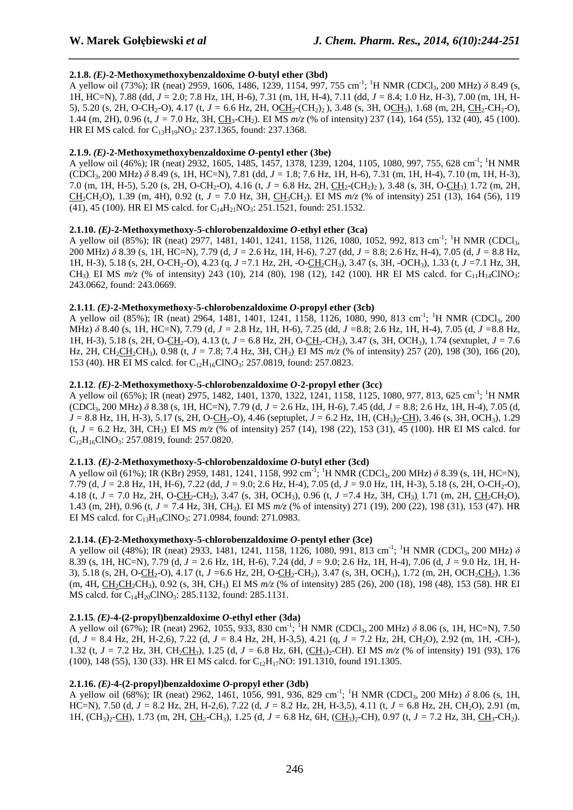# **2.1.8.** *(E)***-2-Methoxymethoxybenzaldoxime** *O***-butyl ether (3bd)**

A yellow oil (73%); IR (neat) 2959, 1606, 1486, 1239, 1154, 997, 755 cm<sup>-1</sup>; <sup>1</sup>H NMR (CDCl<sub>3</sub>, 200 MHz) δ 8.49 (s, 1H, HC=N), 7.88 (dd, *J =* 2.0; 7.8 Hz, 1H, H-6), 7.31 (m, 1H, H-4), 7.11 (dd, *J =* 8.4; 1.0 Hz, H-3), 7.00 (m, 1H, H-5), 5.20 (s, 2H, O-CH<sub>2</sub>-O), 4.17 (t, *J* = 6.6 Hz, 2H, OCH<sub>2</sub>-(CH<sub>2</sub>)<sub>2</sub>), 3.48 (s, 3H, OCH<sub>3</sub>), 1.68 (m, 2H, CH<sub>2</sub>-CH<sub>2</sub>-O), 1.44 (m, 2H), 0.96 (t, *J* = 7.0 Hz, 3H, CH<sub>3</sub>-CH<sub>2</sub>). EI MS  $m/z$  (% of intensity) 237 (14), 164 (55), 132 (40), 45 (100). HR EI MS calcd. for  $C_{13}H_{19}NO_3$ : 237.1365, found: 237.1368.

*\_\_\_\_\_\_\_\_\_\_\_\_\_\_\_\_\_\_\_\_\_\_\_\_\_\_\_\_\_\_\_\_\_\_\_\_\_\_\_\_\_\_\_\_\_\_\_\_\_\_\_\_\_\_\_\_\_\_\_\_\_\_\_\_\_\_\_\_\_\_\_\_\_\_\_\_\_\_*

# **2.1.9.** *(E)***-2-Methoxymethoxybenzaldoxime** *O***-pentyl ether (3be)**

A yellow oil (46%); IR (neat) 2932, 1605, 1485, 1457, 1378, 1239, 1204, 1105, 1080, 997, 755, 628 cm<sup>-1</sup>; <sup>1</sup>H NMR (CDCl3, 200 MHz) *δ* 8.49 (s, 1H, HC=N), 7.81 (dd, *J =* 1.8; 7.6 Hz, 1H, H-6), 7.31 (m, 1H, H-4), 7.10 (m, 1H, H-3), 7.0 (m, 1H, H-5), 5.20 (s, 2H, O-CH<sub>2</sub>-O), 4.16 (t, *J* = 6.8 Hz, 2H, CH<sub>2</sub>-(CH<sub>2</sub>)<sub>2</sub>), 3.48 (s, 3H, O-CH<sub>3</sub>), 1.72 (m, 2H, CH<sub>2</sub>CH<sub>2</sub>O), 1.39 (m, 4H), 0.92 (t, *J* = 7.0 Hz, 3H, CH<sub>3</sub>CH<sub>2</sub>). EI MS  $m/z$  (% of intensity) 251 (13), 164 (56), 119 (41), 45 (100). HR EI MS calcd. for  $C_{14}H_{21}NO_3$ : 251.1521, found: 251.1532.

# **2.1.10.** *(E)***-2-Methoxymethoxy-5-chlorobenzaldoxime** *O***-ethyl ether (3ca)**

A yellow oil (85%); IR (neat) 2977, 1481, 1401, 1241, 1158, 1126, 1080, 1052, 992, 813 cm<sup>-1</sup>; <sup>1</sup>H NMR (CDCl<sub>3</sub>, 200 MHz) *δ* 8.39 (s, 1H, HC=N), 7.79 (d, *J =* 2.6 Hz, 1H, H-6), 7.27 (dd, *J =* 8.8; 2.6 Hz, H-4), 7.05 (d, *J =* 8.8 Hz, 1H, H-3), 5.18 (s, 2H, O-CH<sub>2</sub>-O), 4.23 (q, *J* = 7.1 Hz, 2H, -O-CH<sub>2</sub>CH<sub>3</sub>), 3.47 (s, 3H, -OCH<sub>3</sub>), 1.33 (t, *J* = 7.1 Hz, 3H, CH<sub>3</sub>). EI MS  $m/z$  (% of intensity) 243 (10), 214 (80), 198 (12), 142 (100). HR EI MS calcd. for C<sub>11</sub>H<sub>14</sub>ClNO<sub>3</sub>: 243.0662, found: 243.0669.

#### **2.1.11**. *(E)***-2-Methoxymethoxy-5-chlorobenzaldoxime** *O***-propyl ether (3cb)**

A yellow oil (85%); IR (neat) 2964, 1481, 1401, 1241, 1158, 1126, 1080, 990, 813 cm<sup>-1</sup>; <sup>1</sup>H NMR (CDCl<sub>3</sub>, 200 MHz) *δ* 8.40 (s, 1H, HC=N), 7.79 (d, *J =* 2.8 Hz, 1H, H-6), 7.25 (dd, *J =*8.8; 2.6 Hz, 1H, H-4), 7.05 (d, *J =*8.8 Hz, 1H, H-3), 5.18 (s, 2H, O-CH2-O), 4.13 (t, *J =* 6.8 Hz, 2H, O-CH2-CH2), 3.47 (s, 3H, OCH3), 1.74 (sextuplet, *J =* 7.6 Hz, 2H, CH<sub>2</sub>CH<sub>2</sub>CH<sub>3</sub>), 0.98 (t, *J* = 7.8; 7.4 Hz, 3H, CH<sub>3</sub>) EI MS  $m/z$  (% of intensity) 257 (20), 198 (30), 166 (20), 153 (40). HR EI MS calcd. for C<sub>12</sub>H<sub>16</sub>ClNO<sub>3</sub>: 257.0819, found: 257.0823.

#### **2.1.12**. *(E)***-2-Methoxymethoxy-5-chlorobenzaldoxime** *O***-2-propyl ether (3cc)**

A yellow oil (65%); IR (neat) 2975, 1482, 1401, 1370, 1322, 1241, 1158, 1125, 1080, 977, 813, 625 cm-1; <sup>1</sup>H NMR (CDCl3, 200 MHz) *δ* 8.38 (s, 1H, HC=N), 7.79 (d, *J =* 2.6 Hz, 1H, H-6), 7.45 (dd, *J =* 8.8; 2.6 Hz, 1H, H-4), 7.05 (d,  $J = 8.8$  Hz, 1H, H-3), 5.17 (s, 2H, O-CH<sub>2</sub>-O), 4.46 (septuplet,  $J = 6.2$  Hz, 1H, (CH<sub>3</sub>)<sub>2</sub>-CH), 3.46 (s, 3H, OCH<sub>3</sub>), 1.29  $(t, J = 6.2 \text{ Hz}, 3H, CH_3)$ . EI MS  $m/z$  (% of intensity) 257 (14), 198 (22), 153 (31), 45 (100). HR EI MS calcd. for C12H16ClNO3: 257.0819, found: 257.0820.

# **2.1.13**. *(E)***-2-Methoxymethoxy-5-chlorobenzaldoxime** *O***-butyl ether (3cd)**

A yellow oil (61%); IR (KBr) 2959, 1481, 1241, 1158, 992 cm<sup>-1</sup>; <sup>1</sup>H NMR (CDCl<sub>3</sub>, 200 MHz) δ 8.39 (s, 1H, HC=N), 7.79 (d, *J =* 2.8 Hz, 1H, H-6), 7.22 (dd, *J =* 9.0; 2.6 Hz, H-4), 7.05 (d, *J =* 9.0 Hz, 1H, H-3), 5.18 (s, 2H, O-CH2-O), 4.18 (t, *J* = 7.0 Hz, 2H, O-CH<sub>2</sub>-CH<sub>2</sub>), 3.47 (s, 3H, OCH<sub>3</sub>), 0.96 (t, *J* = 7.4 Hz, 3H, CH<sub>3</sub>), 1.71 (m, 2H, CH<sub>2</sub>CH<sub>2</sub>O), 1.43 (m, 2H), 0.96 (t, *J =* 7.4 Hz, 3H, CH3). EI MS *m/z* (% of intensity) 271 (19), 200 (22), 198 (31), 153 (47). HR EI MS calcd. for  $C_{13}H_{18}CINO_3$ : 271.0984, found: 271.0983.

# **2.1.14. (***E***)-2-Methoxymethoxy-5-chlorobenzaldoxime** *O***-pentyl ether (3ce)**

A yellow oil (48%); IR (neat) 2933, 1481, 1241, 1158, 1126, 1080, 991, 813 cm<sup>-1</sup>; <sup>1</sup>H NMR (CDCl<sub>3</sub>, 200 MHz)  $\delta$ 8.39 (s, 1H, HC=N), 7.79 (d, *J =* 2.6 Hz, 1H, H-6), 7.24 (dd, *J =* 9.0; 2.6 Hz, 1H, H-4), 7.06 (d, *J =* 9.0 Hz, 1H, H-3), 5.18 (s, 2H, O-CH<sub>2</sub>-O), 4.17 (t, *J* = 6.6 Hz, 2H, O-CH<sub>2</sub>-CH<sub>2</sub>), 3.47 (s, 3H, OCH<sub>3</sub>), 1.72 (m, 2H, OCH<sub>2</sub>CH<sub>2</sub>), 1.36 (m, 4H, CH<sub>2</sub>CH<sub>2</sub>CH<sub>3</sub>), 0.92 (s, 3H, CH<sub>3</sub>). EI MS  $m/z$  (% of intensity) 285 (26), 200 (18), 198 (48), 153 (58). HR EI MS calcd. for  $C_{14}H_{20}CINO_3$ : 285.1132, found: 285.1131.

# **2.1.15.**  $(E)$ -4- $(2$ -propyl)benzaldoxime  $O$ -ethyl ether  $(3da)$

A yellow oil (67%); IR (neat) 2962, 1055, 933, 830 cm<sup>-1</sup>; <sup>1</sup>H NMR (CDCl<sub>3</sub>, 200 MHz)  $\delta$  8.06 (s, 1H, HC=N), 7.50 (d, *J =* 8.4 Hz, 2H, H-2,6), 7.22 (d, *J =* 8.4 Hz, 2H, H-3,5), 4.21 (q, *J =* 7.2 Hz, 2H, CH2O), 2.92 (m, 1H, -CH-), 1.32 (t,  $J = 7.2$  Hz, 3H, CH<sub>2</sub>CH<sub>3</sub>), 1.25 (d,  $J = 6.8$  Hz, 6H, (CH<sub>3</sub>)<sub>2</sub>-CH). EI MS  $m/z$  (% of intensity) 191 (93), 176 (100), 148 (55), 130 (33). HR EI MS calcd. for  $C_{12}H_{17}NO$ : 191.1310, found 191.1305.

# **2.1.16.**  $(E)$ -4- $(2$ -propyl)benzaldoxime  $O$ -propyl ether  $(3db)$

A yellow oil (68%); IR (neat) 2962, 1461, 1056, 991, 936, 829 cm<sup>-1</sup>; <sup>1</sup>H NMR (CDCl<sub>3</sub>, 200 MHz) δ 8.06 (s, 1H, HC=N), 7.50 (d, *J =* 8.2 Hz, 2H, H-2,6), 7.22 (d, *J =* 8.2 Hz, 2H, H-3,5), 4.11 (t, *J =* 6.8 Hz, 2H, CH2O), 2.91 (m, 1H, (CH<sub>3</sub>)<sub>2</sub>-CH), 1.73 (m, 2H, CH<sub>2</sub>-CH<sub>3</sub>), 1.25 (d, *J* = 6.8 Hz, 6H, (CH<sub>3</sub>)<sub>2</sub>-CH), 0.97 (t, *J* = 7.2 Hz, 3H, CH<sub>3</sub>-CH<sub>2</sub>).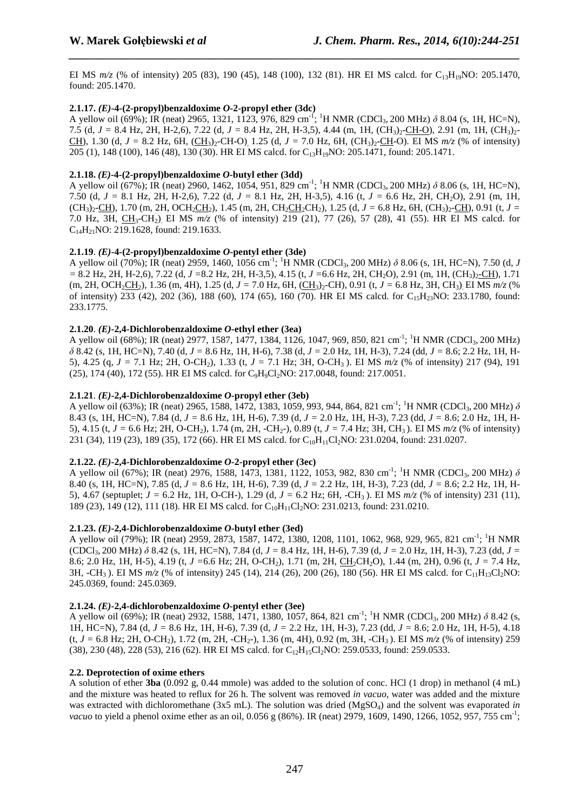EI MS  $m/z$  (% of intensity) 205 (83), 190 (45), 148 (100), 132 (81). HR EI MS calcd. for C<sub>13</sub>H<sub>19</sub>NO: 205.1470, found: 205.1470.

*\_\_\_\_\_\_\_\_\_\_\_\_\_\_\_\_\_\_\_\_\_\_\_\_\_\_\_\_\_\_\_\_\_\_\_\_\_\_\_\_\_\_\_\_\_\_\_\_\_\_\_\_\_\_\_\_\_\_\_\_\_\_\_\_\_\_\_\_\_\_\_\_\_\_\_\_\_\_*

# **2.1.17.**  $(E)$ -4- $(2$ -propyl)benzaldoxime  $O$ -2-propyl ether  $(3dc)$

A yellow oil (69%); IR (neat) 2965, 1321, 1123, 976, 829 cm<sup>-1</sup>; <sup>1</sup>H NMR (CDCl<sub>3</sub>, 200 MHz) *δ* 8.04 (s, 1H, HC=N), 7.5 (d, *J* = 8.4 Hz, 2H, H-2,6), 7.22 (d, *J* = 8.4 Hz, 2H, H-3,5), 4.44 (m, 1H, (CH<sub>3</sub>)<sub>2</sub>-CH-O), 2.91 (m, 1H, (CH<sub>3</sub>)<sub>2</sub>-CH), 1.30 (d,  $J = 8.2$  Hz, 6H, (CH<sub>3</sub>)<sub>2</sub>-CH-O), 1.25 (d,  $J = 7.0$  Hz, 6H, (CH<sub>3</sub>)<sub>2</sub>-CH-O). EI MS  $m/z$  (% of intensity) 205 (1), 148 (100), 146 (48), 130 (30). HR EI MS calcd. for C13H19NO: 205.1471, found: 205.1471.

# **2.1.18.** *(E)***-4-(2-propyl)benzaldoxime** *O***-butyl ether (3dd)**

A yellow oil (67%); IR (neat) 2960, 1462, 1054, 951, 829 cm<sup>-1</sup>; <sup>1</sup>H NMR (CDCl<sub>3</sub>, 200 MHz) δ 8.06 (s, 1H, HC=N), 7.50 (d, *J =* 8.1 Hz, 2H, H-2,6), 7.22 (d, *J =* 8.1 Hz, 2H, H-3,5), 4.16 (t, *J =* 6.6 Hz, 2H, CH2O), 2.91 (m, 1H,  $(CH_3$ )<sub>2</sub>-CH), 1.70 (m, 2H, OCH<sub>2</sub>CH<sub>2</sub>), 1.45 (m, 2H, CH<sub>2</sub>CH<sub>2</sub>CH<sub>2</sub>), 1.25 (d,  $J = 6.8$  Hz, 6H, (CH<sub>3</sub>)<sub>2</sub>-CH), 0.91 (t,  $J =$ 7.0 Hz, 3H, CH3-CH2). EI MS *m/z* (% of intensity) 219 (21), 77 (26), 57 (28), 41 (55). HR EI MS calcd. for  $C_{14}H_{21}NO: 219.1628$ , found: 219.1633.

# **2.1.19.**  $(E)$ -4- $(2$ -propyl)benzaldoxime  $O$ -pentyl ether  $(3de)$

A yellow oil (70%); IR (neat) 2959, 1460, 1056 cm<sup>-1</sup>; <sup>1</sup>H NMR (CDCl<sub>3</sub>, 200 MHz)  $\delta$  8.06 (s, 1H, HC=N), 7.50 (d, *J =* 8.2 Hz, 2H, H-2,6), 7.22 (d, *J =*8.2 Hz, 2H, H-3,5), 4.15 (t, *J =*6.6 Hz, 2H, CH2O), 2.91 (m, 1H, (CH3)2-CH), 1.71 (m, 2H, OCH<sub>2</sub>CH<sub>2</sub>), 1.36 (m, 4H), 1.25 (d, *J* = 7.0 Hz, 6H, (CH<sub>3</sub>)<sub>2</sub>-CH), 0.91 (t, *J* = 6.8 Hz, 3H, CH<sub>3</sub>). EI MS  $m/z$  (% of intensity) 233 (42), 202 (36), 188 (60), 174 (65), 160 (70). HR EI MS calcd. for  $C_1$ <sub>5</sub>H<sub>23</sub>NO: 233.1780, found: 233.1775.

# **2.1.20**. *(E)***-2,4-Dichlorobenzaldoxime** *O***-ethyl ether (3ea)**

A yellow oil (68%); IR (neat) 2977, 1587, 1477, 1384, 1126, 1047, 969, 850, 821 cm<sup>-1</sup>; <sup>1</sup>H NMR (CDCl<sub>3</sub>, 200 MHz) *δ* 8.42 (s, 1H, HC=N), 7.40 (d, *J =* 8.6 Hz, 1H, H-6), 7.38 (d, *J =* 2.0 Hz, 1H, H-3), 7.24 (dd, *J =* 8.6; 2.2 Hz, 1H, H-5), 4.25 (q, *J =* 7.1 Hz; 2H, O-CH2), 1.33 (t, *J =* 7.1 Hz; 3H, O-CH3 ). EI MS *m/z* (% of intensity) 217 (94), 191 (25), 174 (40), 172 (55). HR EI MS calcd. for C<sub>9</sub>H<sub>9</sub>Cl<sub>2</sub>NO: 217.0048, found: 217.0051.

# **2.1.21**. *(E)***-2,4-Dichlorobenzaldoxime** *O***-propyl ether (3eb)**

A yellow oil (63%); IR (neat) 2965, 1588, 1472, 1383, 1059, 993, 944, 864, 821 cm<sup>-1</sup>; <sup>1</sup>H NMR (CDCl<sub>3</sub>, 200 MHz) δ 8.43 (s, 1H, HC=N), 7.84 (d, *J =* 8.6 Hz, 1H, H-6), 7.39 (d, *J =* 2.0 Hz, 1H, H-3), 7.23 (dd, *J =* 8.6; 2.0 Hz, 1H, H-5), 4.15 (t,  $J = 6.6$  Hz; 2H, O-CH<sub>2</sub>), 1.74 (m, 2H, -CH<sub>2</sub>-), 0.89 (t,  $J = 7.4$  Hz; 3H, CH<sub>3</sub>). EI MS  $m/z$  (% of intensity) 231 (34), 119 (23), 189 (35), 172 (66). HR EI MS calcd. for C<sub>10</sub>H<sub>11</sub>Cl<sub>2</sub>NO: 231.0204, found: 231.0207.

# **2.1.22.**  $(E)$ -2.4-Dichlorobenzaldoxime  $O$ -2-propyl ether  $(3ec)$

A yellow oil (67%); IR (neat) 2976, 1588, 1473, 1381, 1122, 1053, 982, 830 cm<sup>-1</sup>; <sup>1</sup>H NMR (CDCl<sub>3</sub>, 200 MHz) δ 8.40 (s, 1H, HC=N), 7.85 (d, *J =* 8.6 Hz, 1H, H-6), 7.39 (d, *J =* 2.2 Hz, 1H, H-3), 7.23 (dd, *J =* 8.6; 2.2 Hz, 1H, H-5), 4.67 (septuplet; *J =* 6.2 Hz, 1H, O-CH-), 1.29 (d, *J =* 6.2 Hz; 6H, -CH3 ). EI MS *m/z* (% of intensity) 231 (11), 189 (23), 149 (12), 111 (18). HR EI MS calcd. for C<sub>10</sub>H<sub>11</sub>Cl<sub>2</sub>NO: 231.0213, found: 231.0210.

# **2.1.23.**  $(E)$ -2,4-Dichlorobenzaldoxime  $O$ -butyl ether (3ed)

A yellow oil (79%); IR (neat) 2959, 2873, 1587, 1472, 1380, 1208, 1101, 1062, 968, 929, 965, 821 cm-1; <sup>1</sup>H NMR (CDCl3, 200 MHz) *δ* 8.42 (s, 1H, HC=N), 7.84 (d, *J =* 8.4 Hz, 1H, H-6), 7.39 (d, *J =* 2.0 Hz, 1H, H-3), 7.23 (dd, *J =* 8.6; 2.0 Hz, 1H, H-5), 4.19 (t, *J* = 6.6 Hz; 2H, O-CH<sub>2</sub>), 1.71 (m, 2H, CH<sub>2</sub>CH<sub>2</sub>O), 1.44 (m, 2H), 0.96 (t, *J* = 7.4 Hz, 3H, -CH<sub>3</sub>). EI MS  $m/z$  (% of intensity) 245 (14), 214 (26), 200 (26), 180 (56). HR EI MS calcd. for C<sub>11</sub>H<sub>13</sub>Cl<sub>2</sub>NO: 245.0369, found: 245.0369.

# **2.1.24.** *(E)***-2,4-dichlorobenzaldoxime** *O***-pentyl ether (3ee)**

A yellow oil (69%); IR (neat) 2932, 1588, 1471, 1380, 1057, 864, 821 cm<sup>-1</sup>; <sup>1</sup>H NMR (CDCl<sub>3</sub>, 200 MHz) *δ* 8.42 (s, 1H, HC=N), 7.84 (d, *J =* 8.6 Hz, 1H, H-6), 7.39 (d, *J =* 2.2 Hz, 1H, H-3), 7.23 (dd, *J =* 8.6; 2.0 Hz, 1H, H-5), 4.18  $(t, J = 6.8 \text{ Hz}; 2H, OCH_2)$ , 1.72 (m, 2H, -CH<sub>2</sub>-), 1.36 (m, 4H), 0.92 (m, 3H, -CH<sub>3</sub>). EI MS  $m/z$  (% of intensity) 259  $(38)$ , 230 (48), 228 (53), 216 (62). HR EI MS calcd. for C<sub>12</sub>H<sub>15</sub>Cl<sub>2</sub>NO: 259.0533, found: 259.0533.

# **2.2. Deprotection of oxime ethers**

A solution of ether **3ba** (0.092 g, 0.44 mmole) was added to the solution of conc. HCl (1 drop) in methanol (4 mL) and the mixture was heated to reflux for 26 h. The solvent was removed *in vacuo*, water was added and the mixture was extracted with dichloromethane (3x5 mL). The solution was dried (MgSO<sub>4</sub>) and the solvent was evaporated *in vacuo* to yield a phenol oxime ether as an oil, 0.056 g (86%). IR (neat) 2979, 1609, 1490, 1266, 1052, 957, 755 cm<sup>-1</sup>;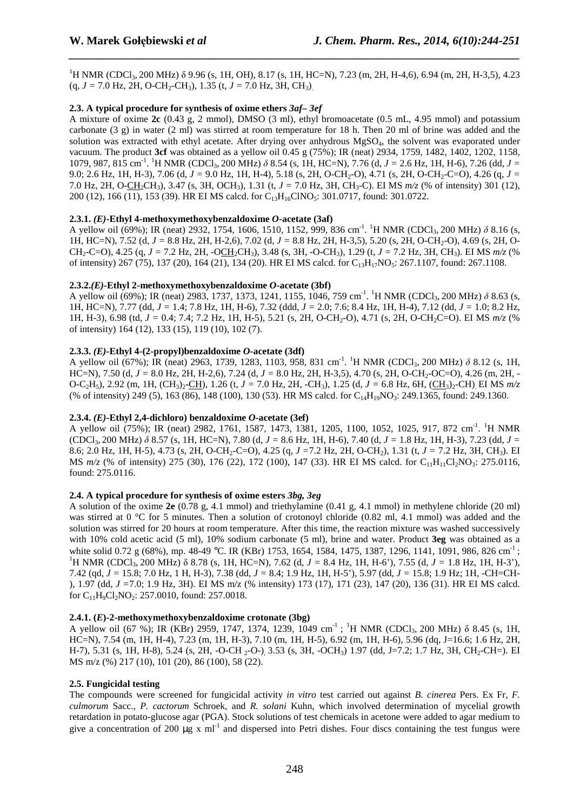<sup>1</sup>H NMR (CDCl<sub>3</sub>, 200 MHz) δ 9.96 (s, 1H, OH), 8.17 (s, 1H, HC=N), 7.23 (m, 2H, H-4,6), 6.94 (m, 2H, H-3,5), 4.23  $(q, J = 7.0 \text{ Hz}, 2H, O\text{-CH}_2\text{-CH}_3), 1.35 \text{ (t, } J = 7.0 \text{ Hz}, 3H, \text{ CH}_3).$ 

*\_\_\_\_\_\_\_\_\_\_\_\_\_\_\_\_\_\_\_\_\_\_\_\_\_\_\_\_\_\_\_\_\_\_\_\_\_\_\_\_\_\_\_\_\_\_\_\_\_\_\_\_\_\_\_\_\_\_\_\_\_\_\_\_\_\_\_\_\_\_\_\_\_\_\_\_\_\_*

# **2.3. A typical procedure for synthesis of oxime ethers** *3af– 3ef*

A mixture of oxime **2c** (0.43 g, 2 mmol), DMSO (3 ml), ethyl bromoacetate (0.5 mL, 4.95 mmol) and potassium carbonate  $(3 \text{ g})$  in water  $(2 \text{ ml})$  was stirred at room temperature for 18 h. Then 20 ml of brine was added and the solution was extracted with ethyl acetate. After drying over anhydrous MgSO4, the solvent was evaporated under vacuum. The product **3cf** was obtained as a yellow oil 0.45 g (75%); IR (neat) 2934, 1759, 1482, 1402, 1202, 1158, 1079, 987, 815 cm<sup>-1</sup>. <sup>1</sup>H NMR (CDCl<sub>3</sub>, 200 MHz)  $\delta$  8.54 (s, 1H, HC=N), 7.76 (d, *J* = 2.6 Hz, 1H, H-6), 7.26 (dd, *J* = 9.0; 2.6 Hz, 1H, H-3), 7.06 (d,  $J = 9.0$  Hz, 1H, H-4), 5.18 (s, 2H, O-CH<sub>2</sub>-O), 4.71 (s, 2H, O-CH<sub>2</sub>-C=O), 4.26 (g,  $J =$ 7.0 Hz, 2H, O-CH2CH3), 3.47 (s, 3H, OCH3), 1.31 (t, *J =* 7.0 Hz, 3H, CH3-C). EI MS *m/z* (% of intensity) 301 (12), 200 (12), 166 (11), 153 (39). HR EI MS calcd. for C<sub>13</sub>H<sub>16</sub>ClNO<sub>5</sub>: 301.0717, found: 301.0722.

# **2.3.1.** *(E)***-Ethyl 4-methoxymethoxybenzaldoxime** *O***-acetate (3af)**

A yellow oil (69%); IR (neat) 2932, 1754, 1606, 1510, 1152, 999, 836 cm<sup>-1</sup>. <sup>1</sup>H NMR (CDCl<sub>3</sub>, 200 MHz) δ 8.16 (s, 1H, HC=N), 7.52 (d, *J =* 8.8 Hz, 2H, H-2,6), 7.02 (d, *J =* 8.8 Hz, 2H, H-3,5), 5.20 (s, 2H, O-CH2-O), 4.69 (s, 2H, O- $CH_2-C=O$ ), 4.25 (g,  $J = 7.2$  Hz, 2H,  $-OCH_2CH_3$ ), 3.48 (s, 3H,  $-OCH_3$ ), 1.29 (t,  $J = 7.2$  Hz, 3H, CH<sub>3</sub>). EI MS  $m/z$  (%) of intensity) 267 (75), 137 (20), 164 (21), 134 (20). HR EI MS calcd. for C<sub>13</sub>H<sub>17</sub>NO<sub>5</sub>: 267.1107, found: 267.1108.

# **2.3.2.***(E)***-Ethyl 2-methoxymethoxybenzaldoxime** *O***-acetate (3bf)**

A yellow oil (69%); IR (neat) 2983, 1737, 1373, 1241, 1155, 1046, 759 cm<sup>-1</sup>. <sup>1</sup>H NMR (CDCl<sub>3</sub>, 200 MHz) δ 8.63 (s, 1H, HC=N), 7.77 (dd, *J =* 1.4; 7.8 Hz, 1H, H-6), 7.32 (ddd, *J =* 2.0; 7.6; 8.4 Hz, 1H, H-4), 7.12 (dd, *J =* 1.0; 8.2 Hz, 1H, H-3), 6.98 (td,  $J = 0.4$ ; 7.4; 7.2 Hz, 1H, H-5), 5.21 (s, 2H, O-CH<sub>2</sub>-O), 4.71 (s, 2H, O-CH<sub>2</sub>C=O). EI MS  $m/z$  (% of intensity) 164 (12), 133 (15), 119 (10), 102 (7).

# **2.3.3.** *(E)***-Ethyl 4-(2-propyl)benzaldoxime** *O***-acetate (3df)**

A yellow oil (67%); IR (neat) 2963, 1739, 1283, 1103, 958, 831 cm<sup>-1</sup>. <sup>1</sup>H NMR (CDCl<sub>3</sub>, 200 MHz) δ 8.12 (s, 1H, HC=N), 7.50 (d, *J =* 8.0 Hz, 2H, H-2,6), 7.24 (d, *J =* 8.0 Hz, 2H, H-3,5), 4.70 (s, 2H, O-CH2-OC=O), 4.26 (m, 2H, - O-C<sub>2</sub>H<sub>5</sub>), 2.92 (m, 1H, (CH<sub>3</sub>)<sub>2</sub>-CH), 1.26 (t, *J* = 7.0 Hz, 2H, -CH<sub>3</sub>), 1.25 (d, *J* = 6.8 Hz, 6H, (CH<sub>3</sub>)<sub>2</sub>-CH). EI MS  $m/z$ (% of intensity) 249 (5), 163 (86), 148 (100), 130 (53). HR MS calcd. for C<sub>14</sub>H<sub>19</sub>NO<sub>3</sub>: 249.1365, found: 249.1360.

# **2.3.4.** *(E)***-Ethyl 2,4-dichloro) benzaldoxime** *O***-acetate (3ef)**

A yellow oil (75%); IR (neat) 2982, 1761, 1587, 1473, 1381, 1205, 1100, 1052, 1025, 917, 872 cm<sup>-1</sup>. <sup>1</sup>H NMR (CDCl3, 200 MHz) *δ* 8.57 (s, 1H, HC=N), 7.80 (d, *J =* 8.6 Hz, 1H, H-6), 7.40 (d, *J =* 1.8 Hz, 1H, H-3), 7.23 (dd, *J =* 8.6; 2.0 Hz, 1H, H-5), 4.73 (s, 2H, O-CH2-C=O), 4.25 (q, *J =*7.2 Hz, 2H, O-CH2), 1.31 (t, *J =* 7.2 Hz, 3H, CH3). EI MS  $m/z$  (% of intensity) 275 (30), 176 (22), 172 (100), 147 (33). HR EI MS calcd. for C<sub>11</sub>H<sub>11</sub>Cl<sub>2</sub>NO<sub>3</sub>: 275.0116, found: 275.0116.

# **2.4. A typical procedure for synthesis of oxime esters** *3bg, 3eg*

A solution of the oxime **2e** (0.78 g, 4.1 mmol) and triethylamine (0.41 g, 4.1 mmol) in methylene chloride (20 ml) was stirred at 0 °C for 5 minutes. Then a solution of crotonoyl chloride (0.82 ml, 4.1 mmol) was added and the solution was stirred for 20 hours at room temperature. After this time, the reaction mixture was washed successively with 10% cold acetic acid (5 ml), 10% sodium carbonate (5 ml), brine and water. Product **3eg** was obtained as a white solid 0.72 g (68%), mp. 48-49 °C. IR (KBr) 1753, 1654, 1584, 1475, 1387, 1296, 1141, 1091, 986, 826 cm<sup>-1</sup>; <sup>1</sup>H NMR (CDCl<sub>3</sub>, 200 MHz) δ 8.78 (s, 1H, HC=N), 7.62 (d, *J* = 8.4 Hz, 1H, H-6'), 7.55 (d, *J* = 1.8 Hz, 1H, H-3'), 7.42 (qd, *J =* 15.8; 7.0 Hz, 1 H, H-3), 7.38 (dd, *J =* 8.4; 1.9 Hz, 1H, H-5'), 5.97 (dd, *J =* 15.8; 1.9 Hz; 1H, -CH=CH- ), 1.97 (dd, *J =*7.0; 1.9 Hz, 3H). EI MS m/z (% intensity) 173 (17), 171 (23), 147 (20), 136 (31). HR EI MS calcd. for  $C_{11}H_9Cl_2NO_2$ : 257.0010, found: 257.0018.

#### **2.4.1. (***E***)-2-methoxymethoxybenzaldoxime crotonate (3bg)**

A yellow oil (67 %); IR (KBr) 2959, 1747, 1374, 1239, 1049 cm<sup>-1</sup>; <sup>1</sup>H NMR (CDCl<sub>3</sub>, 200 MHz)  $\delta$  8.45 (s, 1H, HC=N), 7.54 (m, 1H, H-4), 7.23 (m, 1H, H-3), 7.10 (m, 1H, H-5), 6.92 (m, 1H, H-6), 5.96 (dq, J=16.6; 1.6 Hz, 2H, H-7), 5.31 (s, 1H, H-8), 5.24 (s, 2H, -O-CH <sub>2</sub>-O-), 3.53 (s, 3H, -OCH<sub>3</sub>) 1.97 (dd, J=7.2; 1.7 Hz, 3H, CH<sub>2</sub>-CH=). EI MS m/z (%) 217 (10), 101 (20), 86 (100), 58 (22).

# **2.5. Fungicidal testing**

The compounds were screened for fungicidal activity *in vitro* test carried out against *B. cinerea* Pers. Ex Fr, *F. culmorum* Sacc., *P. cactorum* Schroek, and *R. solani* Kuhn, which involved determination of mycelial growth retardation in potato-glucose agar (PGA). Stock solutions of test chemicals in acetone were added to agar medium to give a concentration of 200  $\mu$ g x ml<sup>-1</sup> and dispersed into Petri dishes. Four discs containing the test fungus were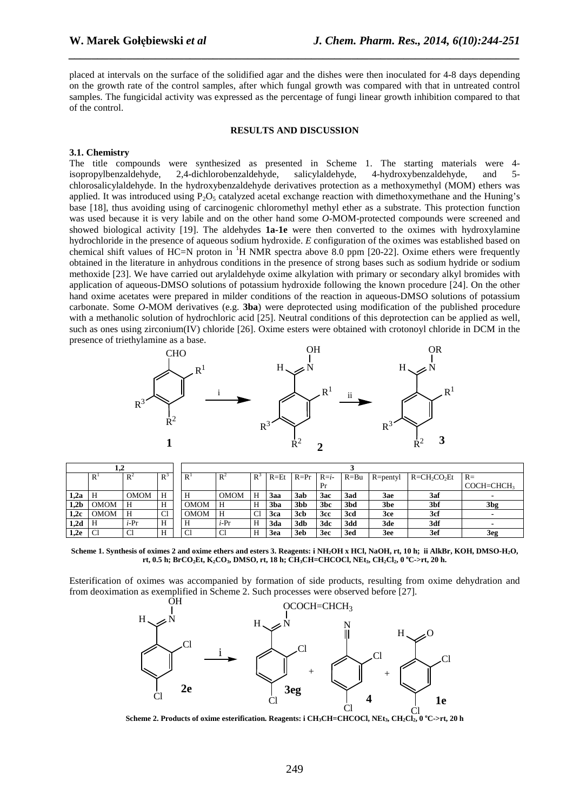placed at intervals on the surface of the solidified agar and the dishes were then inoculated for 4-8 days depending on the growth rate of the control samples, after which fungal growth was compared with that in untreated control samples. The fungicidal activity was expressed as the percentage of fungi linear growth inhibition compared to that of the control.

*\_\_\_\_\_\_\_\_\_\_\_\_\_\_\_\_\_\_\_\_\_\_\_\_\_\_\_\_\_\_\_\_\_\_\_\_\_\_\_\_\_\_\_\_\_\_\_\_\_\_\_\_\_\_\_\_\_\_\_\_\_\_\_\_\_\_\_\_\_\_\_\_\_\_\_\_\_\_*

#### **RESULTS AND DISCUSSION**

#### **3.1. Chemistry**

The title compounds were synthesized as presented in Scheme 1. The starting materials were 4 isopropylbenzaldehyde, 2,4-dichlorobenzaldehyde, salicylaldehyde, 4-hydroxybenzaldehyde, and 5 chlorosalicylaldehyde. In the hydroxybenzaldehyde derivatives protection as a methoxymethyl (MOM) ethers was applied. It was introduced using  $P_2O_5$  catalyzed acetal exchange reaction with dimethoxymethane and the Huning's base [18], thus avoiding using of carcinogenic chloromethyl methyl ether as a substrate. This protection function was used because it is very labile and on the other hand some *O*-MOM-protected compounds were screened and showed biological activity [19]. The aldehydes **1a-1e** were then converted to the oximes with hydroxylamine hydrochloride in the presence of aqueous sodium hydroxide. *E* configuration of the oximes was established based on chemical shift values of HC=N proton in  ${}^{1}H$  NMR spectra above 8.0 ppm [20-22]. Oxime ethers were frequently obtained in the literature in anhydrous conditions in the presence of strong bases such as sodium hydride or sodium methoxide [23]. We have carried out arylaldehyde oxime alkylation with primary or secondary alkyl bromides with application of aqueous-DMSO solutions of potassium hydroxide following the known procedure [24]. On the other hand oxime acetates were prepared in milder conditions of the reaction in aqueous-DMSO solutions of potassium carbonate. Some *O*-MOM derivatives (e.g. **3ba**) were deprotected using modification of the published procedure with a methanolic solution of hydrochloric acid [25]. Neutral conditions of this deprotection can be applied as well, such as ones using zirconium(IV) chloride [26]. Oxime esters were obtained with crotonoyl chloride in DCM in the presence of triethylamine as a base.



|      | $\mathbb{R}$   | $R^2$       | $R^3$ | R <sup>1</sup> | $R^2$       | $R^3$ | $R = Et$   | $R = Pr$         | $R=i-$          | $R = Bu$ | $R =$ pentyl | $R = CH_2CO_2Et$ | $R=$         |
|------|----------------|-------------|-------|----------------|-------------|-------|------------|------------------|-----------------|----------|--------------|------------------|--------------|
|      |                |             |       |                |             |       |            |                  | Pr              |          |              |                  | $COCH=CHCH3$ |
| 1,2a |                | <b>OMOM</b> | H     | Н              | <b>OMOM</b> | н     | 3aa        | 3ab              | 3ac             | 3ad      | 3ae          | 3af              |              |
| 1,2b | <b>OMOM</b>    | Н           | H     | OMOM           | Н           | Н     | 3ba        | 3 <sub>b</sub> b | 3 <sub>bc</sub> | 3bd      | 3be          | 3bf              | 3bg          |
| 1,2c | <b>OMOM</b>    | H           | Cl    | OMOM           | H           | Cl    | <b>3ca</b> | 3cb              | 3cc             | 3cd      | 3ce          | 3cf              |              |
| 1,2d | Н              | $i-Pr$      | H     | Н              | $i-Pr$      | н     | 3da        | 3db              | 3dc             | 3dd      | 3de          | 3df              |              |
| 1,2e | C <sub>1</sub> | Cl          | H     | C1             | Cl          | н     | <b>3ea</b> | 3eb              | 3ec             | 3ed      | 3ee          | 3ef              | 3eg          |

**Scheme 1. Synthesis of oximes 2 and oxime ethers and esters 3. Reagents: i NH2OH x HCl, NaOH, rt, 10 h; ii AlkBr, KOH, DMSO-H2O, rt, 0.5 h; BrCO2Et, K2CO3, DMSO, rt, 18 h; CH3CH=CHCOCl, NEt3, CH2Cl2, 0 <sup>o</sup>C->rt, 20 h.**

Esterification of oximes was accompanied by formation of side products, resulting from oxime dehydration and from deoximation as exemplified in Scheme 2. Such processes were observed before [27].



**Scheme 2. Products of oxime esterification. Reagents: i CH3CH=CHCOCl, NEt3, CH2Cl2, 0 <sup>o</sup>C->rt, 20 h**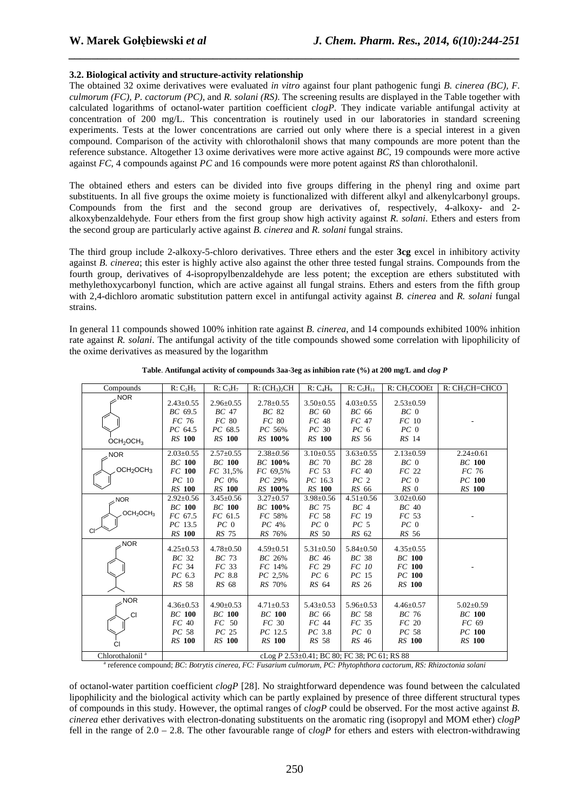# **3.2. Biological activity and structure-activity relationship**

The obtained 32 oxime derivatives were evaluated *in vitro* against four plant pathogenic fungi *B. cinerea (BC), F. culmorum (FC), P. cactorum (PC),* and *R. solani (RS)*. The screening results are displayed in the Table together with calculated logarithms of octanol-water partition coefficient c*logP*. They indicate variable antifungal activity at concentration of 200 mg/L. This concentration is routinely used in our laboratories in standard screening experiments. Tests at the lower concentrations are carried out only where there is a special interest in a given compound. Comparison of the activity with chlorothalonil shows that many compounds are more potent than the reference substance. Altogether 13 oxime derivatives were more active against *BC*, 19 compounds were more active against *FC*, 4 compounds against *PC* and 16 compounds were more potent against *RS* than chlorothalonil.

*\_\_\_\_\_\_\_\_\_\_\_\_\_\_\_\_\_\_\_\_\_\_\_\_\_\_\_\_\_\_\_\_\_\_\_\_\_\_\_\_\_\_\_\_\_\_\_\_\_\_\_\_\_\_\_\_\_\_\_\_\_\_\_\_\_\_\_\_\_\_\_\_\_\_\_\_\_\_*

The obtained ethers and esters can be divided into five groups differing in the phenyl ring and oxime part substituents. In all five groups the oxime moiety is functionalized with different alkyl and alkenylcarbonyl groups. Compounds from the first and the second group are derivatives of, respectively, 4-alkoxy- and 2 alkoxybenzaldehyde. Four ethers from the first group show high activity against *R. solani*. Ethers and esters from the second group are particularly active against *B. cinerea* and *R. solani* fungal strains.

The third group include 2-alkoxy-5-chloro derivatives. Three ethers and the ester **3cg** excel in inhibitory activity against *B. cinerea*; this ester is highly active also against the other three tested fungal strains. Compounds from the fourth group, derivatives of 4-isopropylbenzaldehyde are less potent; the exception are ethers substituted with methylethoxycarbonyl function, which are active against all fungal strains. Ethers and esters from the fifth group with 2,4-dichloro aromatic substitution pattern excel in antifungal activity against *B. cinerea* and *R. solani* fungal strains.

In general 11 compounds showed 100% inhition rate against *B. cinerea*, and 14 compounds exhibited 100% inhition rate against *R. solani*. The antifungal activity of the title compounds showed some correlation with lipophilicity of the oxime derivatives as measured by the logarithm

| Compounds                         | R: C <sub>2</sub> H <sub>5</sub>             | $R: C_3H_7$      | R: (CH <sub>3</sub> ) <sub>2</sub> CH | R: C <sub>4</sub> H <sub>9</sub> | $R: C_5H_{11}$   | R: CH <sub>2</sub> COOEt | $R:CH3CH=CHCO$  |  |  |  |  |
|-----------------------------------|----------------------------------------------|------------------|---------------------------------------|----------------------------------|------------------|--------------------------|-----------------|--|--|--|--|
| $\sqrt{NOR}$                      |                                              |                  |                                       |                                  |                  |                          |                 |  |  |  |  |
|                                   | $2.43 \pm 0.55$                              | $2.96 \pm 0.55$  | $2.78 \pm 0.55$                       | $3.50 \pm 0.55$                  | $4.03 \pm 0.55$  | $2.53 \pm 0.59$          |                 |  |  |  |  |
|                                   | BC 69.5                                      | BC 47            | BC 82                                 | BC 60                            | BC 66            | $BC_0$                   |                 |  |  |  |  |
|                                   | FC 76                                        | FC 80            | FC 80                                 | FC 48                            | FC 47            | FC 10                    |                 |  |  |  |  |
|                                   | PC 64.5                                      | PC 68.5          | PC 56%                                | PC 30                            | PC <sub>6</sub>  | PC <sub>0</sub>          |                 |  |  |  |  |
| OCH <sub>2</sub> OCH <sub>3</sub> | <b>RS</b> 100                                | <b>RS</b> 100    | RS 100%                               | <b>RS</b> 100                    | RS 56            | RS 14                    |                 |  |  |  |  |
| NOR                               | $2.03 \pm 0.55$                              | $2.57 \pm 0.55$  | $2.38 \pm 0.56$                       | $3.10 \pm 0.55$                  | $3.63 \pm 0.55$  | $2.13 \pm 0.59$          | $2.24 \pm 0.61$ |  |  |  |  |
|                                   | <b>BC</b> 100                                | <b>BC</b> 100    | BC 100%                               | $BC$ 70                          | BC <sub>28</sub> | $BC_0$                   | <b>BC</b> 100   |  |  |  |  |
| OCH <sub>2</sub> OCH <sub>3</sub> | FC 100                                       | FC 31,5%         | FC 69.5%                              | FC <sub>53</sub>                 | FC 40            | FC 22                    | FC 76           |  |  |  |  |
|                                   | PC 10                                        | PC 0%            | PC 29%                                | PC 16.3                          | PC <sub>2</sub>  | PC <sub>0</sub>          | PC 100          |  |  |  |  |
|                                   | RS 100                                       | <b>RS</b> 100    | RS 100%                               | <b>RS</b> 100                    | RS 66            | $RS$ 0                   | <b>RS</b> 100   |  |  |  |  |
| $\sim$ NOR                        | $2.92 \pm 0.56$                              | $3.45 \pm 0.56$  | $3.27 \pm 0.57$                       | $3.98 \pm 0.56$                  | $4.51 \pm 0.56$  | $3.02 \pm 0.60$          |                 |  |  |  |  |
|                                   | <b>BC</b> 100                                | <b>BC</b> 100    | BC 100%                               | BC 75                            | BC <sub>4</sub>  | BC 40                    |                 |  |  |  |  |
| OCH <sub>2</sub> OCH <sub>3</sub> | FC 67.5                                      | FC 61.5          | FC 58%                                | FC 58                            | FC 19            | FC 53                    |                 |  |  |  |  |
|                                   | $PC$ 13.5                                    | PC <sub>0</sub>  | $PC$ 4%                               | PC <sub>0</sub>                  | PC <sub>5</sub>  | PC <sub>0</sub>          |                 |  |  |  |  |
|                                   | RS 100                                       | RS 75            | <i>RS</i> 76%                         | RS 50                            | RS 62            | RS 56                    |                 |  |  |  |  |
| <b>NOR</b>                        |                                              |                  |                                       |                                  |                  |                          |                 |  |  |  |  |
|                                   | $4.25 \pm 0.53$                              | $4.78 \pm 0.50$  | $4.59 \pm 0.51$                       | $5.31 \pm 0.50$                  | $5.84 \pm 0.50$  | $4.35 \pm 0.55$          |                 |  |  |  |  |
|                                   | BC <sub>32</sub>                             | BC 73            | BC 26%                                | BC 46                            | BC 38            | $BC$ 100                 |                 |  |  |  |  |
|                                   | FC <sub>34</sub>                             | FC <sub>33</sub> | FC 14%                                | FC <sub>29</sub>                 | FC 10            | FC 100                   |                 |  |  |  |  |
|                                   | $PC$ 6.3                                     | PC 8.8           | PC 2,5%                               | PC <sub>6</sub>                  | $PC$ 15          | PC 100                   |                 |  |  |  |  |
|                                   | RS 58                                        | RS 68            | RS 70%                                | RS 64                            | RS 26            | <b>RS</b> 100            |                 |  |  |  |  |
| <b>NOR</b>                        |                                              |                  |                                       |                                  |                  |                          |                 |  |  |  |  |
|                                   | $4.36 \pm 0.53$                              | $4.90 \pm 0.53$  | $4.71 \pm 0.53$                       | $5.43 \pm 0.53$                  | $5.96 \pm 0.53$  | $4.46 \pm 0.57$          | $5.02 \pm 0.59$ |  |  |  |  |
| <b>CI</b>                         | <b>BC</b> 100                                | <b>BC</b> 100    | <b>BC</b> 100                         | BC 66                            | BC 58            | BC 76                    | <b>BC</b> 100   |  |  |  |  |
|                                   | FC 40                                        | $FC$ 50          | FC <sub>30</sub>                      | FC 44                            | FC 35            | FC 20                    | FC 69           |  |  |  |  |
|                                   | PC 58                                        | PC 25            | PC 12.5                               | $PC$ 3.8                         | $PC$ 0           | PC 58                    | PC 100          |  |  |  |  |
| <b>CI</b>                         | <i>RS</i> 100                                | <i>RS</i> 100    | <i>RS</i> 100                         | RS 58                            | RS 46            | <i>RS</i> 100            | <b>RS</b> 100   |  |  |  |  |
|                                   |                                              |                  |                                       |                                  |                  |                          |                 |  |  |  |  |
| Chlorothalonil <sup>a</sup>       | cLog P 2.53±0.41; BC 80; FC 38; PC 61; RS 88 |                  |                                       |                                  |                  |                          |                 |  |  |  |  |

**Table**. **Antifungal activity of compounds 3aa**-**3eg as inhibion rate (%) at 200 mg/L and c***log P* 

a reference compound; *BC*: *Botrytis cinerea, FC: Fusarium culmorum, PC: Phytophthora cactorum, RS: Rhizoctonia solani* 

of octanol-water partition coefficient *clogP* [28]. No straightforward dependence was found between the calculated lipophilicity and the biological activity which can be partly explained by presence of three different structural types of compounds in this study. However, the optimal ranges of c*logP* could be observed. For the most active against *B. cinerea* ether derivatives with electron-donating substituents on the aromatic ring (isopropyl and MOM ether) c*logP* fell in the range of  $2.0 - 2.8$ . The other favourable range of clogP for ethers and esters with electron-withdrawing